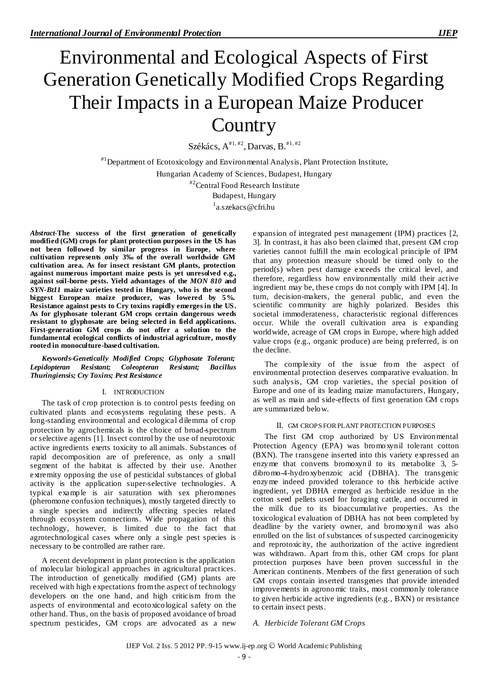# Environmental and Ecological Aspects of First Generation Genetically Modified Crops Regarding Their Impacts in a European Maize Producer **Country**

Székács,  $A^{\#1,\#2}$ , Darvas, B.<sup>#1,#2</sup>

*#*1 Department of Ecotoxicology and Environmental Analysis, Plant Protection Institute, Hungarian Academy of Sciences, Budapest, Hungary #2 Central Food Research Institute Budapest, Hungary <sup>1</sup>[a.szekacs@cfri.hu](mailto:1a.szekacs@cfri.hu)

*Abstract*-**The success of the first generation of genetically modified (GM) crops for plant protection purposes in the US has not been followed by similar progress in Europe, where cultivation represents only 3‰ of the overall worldwide GM cultivation area. As for insect resistant GM plants, protection against numerous important maize pests is yet unresolved e.g., against soil-borne pests. Yield advantages of the** *MON 810* **and**  *SYN-Bt11* **maize varieties tested in Hungary, who is the second biggest European maize producer, was lowered by 5%. Resistance against pests to Cry toxins rapidly emerges in the US. As for glyphosate tolerant GM crops certain dangerous weeds resistant to glyphosate are being selected in field applications. First-generation GM crops do not offer a solution to the fundamental ecological conflicts of industrial agriculture, mostly rooted in monoculture-based cultivation.**

*Keywords*-*Genetically Modified Crops; Glyphosate Tolerant; Lepidopteran Resistant; Coleopteran Resistant; Bacillus Thuringiensis; Cry Toxins; Pest Resistance*

#### I. INTRODUCTION

The task of crop protection is to control pests feeding on cultivated plants and ecosystems regulating these pests. A long-standing environmental and ecological dilemma of crop protection by agrochemicals is the choice of broad-spectrum or selective agents [1]. Insect control by the use of neurotoxic active ingredients exerts toxicity to all animals. Substances of rapid decomposition are of preference, as only a small segment of the habitat is affected by their use. Another extremity opposing the use of pesticidal substances of global activity is the application super-selective technologies. A typical example is air saturation with sex pheromones (pheromone confusion techniques), mostly targeted directly to a single species and indirectly affecting species related through ecosystem connections. Wide propagation of this technology, however, is limited due to the fact that agrotechnological cases where only a single pest species is necessary to be controlled are rather rare.

A recent development in plant protection is the application of molecular biological approaches in agricultural practices. The introduction of genetically modified (GM) plants are received with high expectations from the aspect of technology developers on the one hand, and high criticism from the aspects of environmental and ecotoxicological safety on the other hand. Thus, on the basis of proposed avoidance of broad spectrum pesticides, GM crops are advocated as a new

expansion of integrated pest management (IPM) practices [2, 3]. In contrast, it has also been claimed that, present GM crop varieties cannot fulfill the main ecological principle of IPM that any protection measure should be timed only to the period(s) when pest damage exceeds the critical level, and therefore, regardless how environmentally mild their active ingredient may be, these crops do not comply with IPM [4]. In turn, decision-makers, the general public, and even the scientific community are highly polarized. Besides this societal immoderateness, characteristic regional differences occur. While the overall cultivation area is expanding worldwide, acreage of GM crops in Europe, where high added value crops (e.g., organic produce) are being preferred, is on the decline.

The complexity of the issue from the aspect of environmental protection deserves comparative evaluation. In such analysis, GM crop varieties, the special position of Europe and one of its leading maize manufacturers, Hungary, as well as main and side-effects of first generation GM crops are summarized below.

#### II. GM CROPS FOR PLANT PROTECTION PURPOSES

The first GM crop authorized by US Environmental Protection Agency (EPA) was bromoxynil tolerant cotton (BXN). The transgene inserted into this variety expressed an enzyme that converts bromoxynil to its metabolite 3, 5 dibromo-4-hydroxybenzoic acid (DBHA). The transgenic enzyme indeed provided tolerance to this herbicide active ingredient, yet DBHA emerged as herbicide residue in the cotton seed pellets used for foraging cattle, and occurred in the milk due to its bioaccumulative properties. As the toxicological evaluation of DBHA has not been completed by deadline by the variety owner, and bromoxynil was also enrolled on the list of substances of suspected carcinogenicity and reprotoxicity, the authorization of the active ingredient was withdrawn. Apart from this, other GM crops for plant protection purposes have been proven successful in the American continents. Members of the first generation of such GM crops contain inserted transgenes that provide intended improvements in agronomic traits, most commonly tolerance to given herbicide active ingredients (e.g., BXN) or resistance to certain insect pests.

## *A. Herbicide Tolerant GM Crops*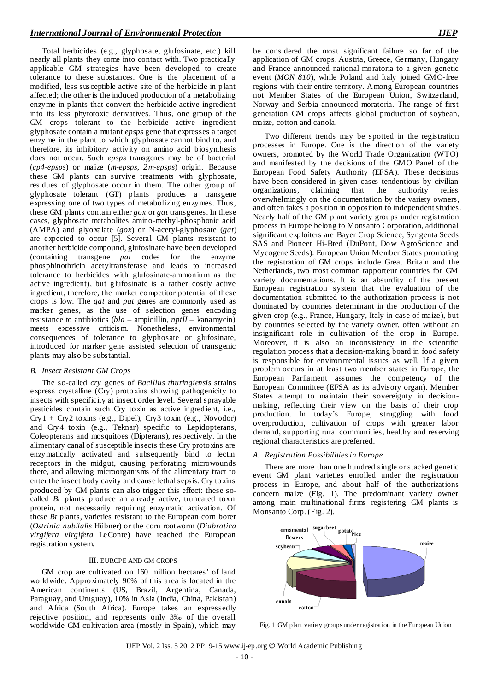Total herbicides (e.g., glyphosate, glufosinate, etc.) kill nearly all plants they come into contact with. Two practically applicable GM strategies have been developed to create tolerance to these substances. One is the placement of a modified, less susceptible active site of the herbicide in plant affected; the other is the induced production of a metabolizing enzyme in plants that convert the herbicide active ingredient into its less phytotoxic derivatives. Thus, one group of the GM crops tolerant to the herbicide active ingredient glyphosate contain a mutant *epsps* gene that expresses a target enzyme in the plant to which glyphosate cannot bind to, and therefore, its inhibitory activity on amino acid biosynthesis does not occur. Such *epsps* transgenes may be of bacterial (*cp4-epsps*) or maize (*m-epsps*, *2m-epsps*) origin. Because these GM plants can survive treatments with glyphosate, residues of glyphosate occur in them. The other group of glyphosate tolerant (GT) plants produces a transgene expressing one of two types of metabolizing enzymes. Thus, these GM plants contain either *gox* or *gat* transgenes. In these cases, glyphosate metabolites amino-methyl-phosphonic acid (AMPA) and glyoxalate (*gox*) or N-acetyl-glyphosate (*gat*) are expected to occur [5]. Several GM plants resistant to another herbicide compound, glufosinate have been developed (containing transgene *pat* codes for the enzyme phosphinothricin acetyltransferase and leads to increased tolerance to herbicides with glufosinate-ammonium as the active ingredient), but glufosinate is a rather costly active ingredient, therefore, the market competitor potential of these crops is low. The *gat* and *pat* genes are commonly used as marker genes, as the use of selection genes encoding resistance to antibiotics (*bla* – ampicillin, *nptII* – kanamycin) meets excessive criticis m. Nonetheless, environmental consequences of tolerance to glyphosate or glufosinate, introduced for marker gene assisted selection of transgenic plants may also be substantial.

## *B. Insect Resistant GM Crops*

The so-called *cry* genes of *Bacillus thuringiensis* strains express crystalline (Cry) protoxins showing pathogenicity to insects with specificity at insect order level. Several sprayable pesticides contain such Cry toxin as active ingredient, i.e., Cry1 + Cry2 toxins (e.g., Dipel), Cry3 toxin (e.g., Novodor) and Cry4 toxin (e.g., Teknar) specific to Lepidopterans, Coleopterans and mosquitoes (Dipterans), respectively. In the alimentary canal of susceptible insects these Cry protoxins are enzymatically activated and subsequently bind to lectin receptors in the midgut, causing perforating microwounds there, and allowing microorganisms of the alimentary tract to enter the insect body cavity and cause lethal sepsis. Cry toxins produced by GM plants can also trigger this effect: these socalled *Bt* plants produce an already active, truncated toxin protein, not necessarily requiring enzymatic activation. Of these *Bt* plants, varieties resistant to the European corn borer (*Ostrinia nubilalis* Hübner) or the corn rootworm (*Diabrotica virgifera virgifera* LeConte) have reached the European registration system.

## III. EUROPE AND GM CROPS

GM crop are cultivated on 160 million hectares' of land worldwide. Approximately 90% of this area is located in the American continents (US, Brazil, Argentina, Canada, Paraguay, and Uruguay), 10% in Asia (India, China, Pakistan) and Africa (South Africa). Europe takes an expressedly rejective position, and represents only 3‰ of the overall worldwide GM cultivation area (mostly in Spain), which may be considered the most significant failure so far of the application of GM crops. Austria, Greece, Germany, Hungary and France announced national moratoria to a given genetic event (*MON 810*), while Poland and Italy joined GMO-free regions with their entire territory. Among European countries not Member States of the European Union, Switzerland, Norway and Serbia announced moratoria. The range of first generation GM crops affects global production of soybean, maize, cotton and canola.

Two different trends may be spotted in the registration processes in Europe. One is the direction of the variety owners, promoted by the World Trade Organization (WTO) and manifested by the decisions of the GMO Panel of the European Food Safety Authority (EFSA). These decisions have been considered in given cases tendentious by civilian organizations, claiming that the authority relies organizations, claiming that the authority relies overwhelmingly on the documentation by the variety owners, and often takes a position in opposition to independent studies. Nearly half of the GM plant variety groups under registration process in Europe belong to Monsanto Corporation, additional significant exploiters are Bayer Crop Science, Syngenta Seeds SAS and Pioneer Hi-Bred (DuPont, Dow AgroScience and Mycogene Seeds). European Union Member States promoting the registration of GM crops include Great Britain and the Netherlands, two most common rapporteur countries for GM variety documentations. It is an absurdity of the present European registration system that the evaluation of the documentation submitted to the authorization process is not dominated by countries determinant in the production of the given crop (e.g., France, Hungary, Italy in case of maize), but by countries selected by the variety owner, often without an insignificant role in cultivation of the crop in Europe. Moreover, it is also an inconsistency in the scientific regulation process that a decision-making board in food safety is responsible for environmental issues as well. If a given problem occurs in at least two member states in Europe, the European Parliament assumes the competency of the European Committee (EFSA as its advisory organ). Member States attempt to maintain their sovereignty in decisionmaking, reflecting their view on the basis of their crop production. In today's Europe, struggling with food overproduction, cultivation of crops with greater labor demand, supporting rural communities, healthy and reserving regional characteristics are preferred.

## *A. Registration Possibilities in Europe*

There are more than one hundred single or stacked genetic event GM plant varieties enrolled under the registration process in Europe, and about half of the authorizations concern maize (Fig. 1). The predominant variety owner among main multinational firms registering GM plants is Monsanto Corp. (Fig. 2).



Fig. 1 GM plant variety groups under registration in the European Union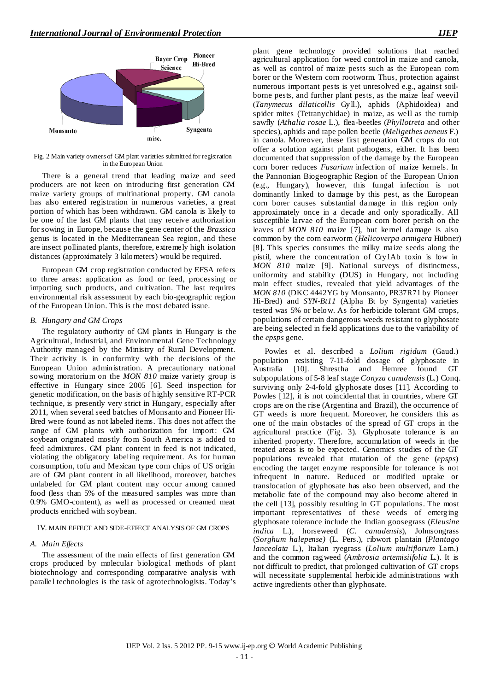

Fig. 2 Main variety owners of GM plant varieties submitted for registration in the European Union

There is a general trend that leading maize and seed producers are not keen on introducing first generation GM maize variety groups of multinational property. GM canola has also entered registration in numerous varieties, a great portion of which has been withdrawn. GM canola is likely to be one of the last GM plants that may receive authorization for sowing in Europe, because the gene center of the *Brassica* genus is located in the Mediterranean Sea region, and these are insect pollinated plants, therefore, extremely high isolation distances (approximately 3 kilometers) would be required.

European GM crop registration conducted by EFSA refers to three areas: application as food or feed, processing or importing such products, and cultivation. The last requires environmental risk assessment by each bio-geographic region of the European Union. This is the most debated issue.

### *B. Hungary and GM Crops*

The regulatory authority of GM plants in Hungary is the Agricultural, Industrial, and Environmental Gene Technology Authority managed by the Ministry of Rural Development. Their activity is in conformity with the decisions of the European Union administration. A precautionary national sowing moratorium on the *MON 810* maize variety group is effective in Hungary since 2005 [6]. Seed inspection for genetic modification, on the basis of highly sensitive RT-PCR technique, is presently very strict in Hungary, especially after 2011, when several seed batches of Monsanto and Pioneer Hi-Bred were found as not labeled items. This does not affect the range of GM plants with authorization for import: GM soybean originated mostly from South America is added to feed admixtures. GM plant content in feed is not indicated, violating the obligatory labeling requirement. As for human consumption, tofu and Mexican type corn chips of US origin are of GM plant content in all likelihood, moreover, batches unlabeled for GM plant content may occur among canned food (less than 5% of the measured samples was more than 0.9% GMO-content), as well as processed or creamed meat products enriched with soybean.

## IV. MAIN EFFECT AND SIDE-EFFECT ANALYSIS OF GM CROPS

#### *A. Main Effects*

The assessment of the main effects of first generation GM crops produced by molecular biological methods of plant biotechnology and corresponding comparative analysis with parallel technologies is the task of agrotechnologists. Today's plant gene technology provided solutions that reached agricultural application for weed control in maize and canola, as well as control of maize pests such as the European corn borer or the Western corn rootworm. Thus, protection against numerous important pests is yet unresolved e.g., against soilborne pests, and further plant pests, as the maize leaf weevil (*Tanymecus dilaticollis* Gyll.), aphids (Aphidoidea) and spider mites (Tetranychidae) in maize, as well as the turnip sawfly (*Athalia rosae* L.), flea-beetles (*Phyllotreta* and other species), aphids and rape pollen beetle (*Meligethes aeneus* F.) in canola. Moreover, these first generation GM crops do not offer a solution against plant pathogens, either. It has been documented that suppression of the damage by the European corn borer reduces *Fusarium* infection of maize kernels. In the Pannonian Biogeographic Region of the European Union (e.g., Hungary), however, this fungal infection is not dominantly linked to damage by this pest, as the European corn borer causes substantial damage in this region only approximately once in a decade and only sporadically. All susceptible larvae of the European corn borer perish on the leaves of *MON 810* maize [7], but kernel damage is also common by the corn earworm (*Helicoverpa armigera* Hübner) [8]. This species consumes the milky maize seeds along the pistil, where the concentration of Cry1Ab toxin is low in *MON 810* maize [9]. National surveys of distinctness, uniformity and stability (DUS) in Hungary, not including main effect studies, revealed that yield advantages of the *MON 810* (DKC 4442YG by Monsanto, PR37R71 by Pioneer Hi-Bred) and *SYN-Bt11* (Alpha Bt by Syngenta) varieties tested was 5% or below. As for herbicide tolerant GM crops, populations of certain dangerous weeds resistant to glyphosate are being selected in field applications due to the variability of the *epsps* gene.

Powles et al. described a *Lolium rigidum* (Gaud.) population resisting 7-11-fold dosage of glyphosate in Australia [10]. Shrestha and Hemree found GT subpopulations of 5-8 leaf stage *Conyza canadensis* (L.) Conq. surviving only 2-4-fold glyphosate doses [11]. According to Powles [12], it is not coincidental that in countries, where GT crops are on the rise (Argentina and Brazil), the occurrence of GT weeds is more frequent. Moreover, he considers this as one of the main obstacles of the spread of GT crops in the agricultural practice (Fig. 3). Glyphosate tolerance is an inherited property. Therefore, accumulation of weeds in the treated areas is to be expected. Genomics studies of the GT populations revealed that mutation of the gene (*epsps*) encoding the target enzyme responsible for tolerance is not infrequent in nature. Reduced or modified uptake or translocation of glyphosate has also been observed, and the metabolic fate of the compound may also become altered in the cell [13], possibly resulting in GT populations. The most important representatives of these weeds of emerging glyphosate tolerance include the Indian goosegrass (*Eleusine indica* L.), horseweed (*C. canadensis*), Johnsongrass (*Sorghum halepense)* (L. Pers.), ribwort plantain (*Plantago lanceolata* L.), Italian ryegrass (*Lolium multiflorum* Lam.) and the common ragweed (*Ambrosia artemisiifolia* L.). It is not difficult to predict, that prolonged cultivation of GT crops will necessitate supplemental herbicide administrations with active ingredients other than glyphosate.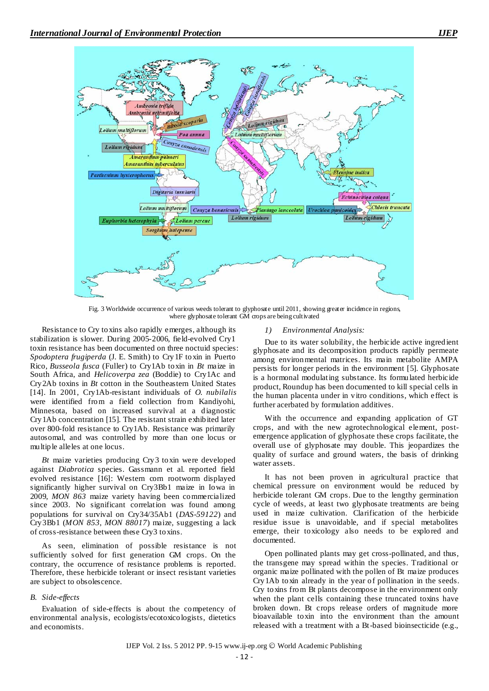

Fig. 3 Worldwide occurrence of various weeds tolerant to glyphosate until 2011, showing greater incidence in regions, where glyphosate tolerant GM crops are being cultivated

Resistance to Cry toxins also rapidly emerges, although its stabilization is slower. During 2005-2006, field-evolved Cry1 toxin resistance has been documented on three noctuid species: *Spodoptera frugiperda* (J. E. Smith) to Cry1F toxin in Puerto Rico, *Busseola fusca* (Fuller) to Cry1Ab toxin in *Bt* maize in South Africa, and *Helicoverpa zea* (Boddie) to Cry1Ac and Cry2Ab toxins in *Bt* cotton in the Southeastern United States [14]. In 2001, Cry1Ab-resistant individuals of *O. nubilalis* were identified from a field collection from Kandiyohi, Minnesota, based on increased survival at a diagnostic Cry1Ab concentration [15]. The resistant strain exhibited later over 800-fold resistance to Cry1Ab. Resistance was primarily autosomal, and was controlled by more than one locus or multiple alleles at one locus.

*Bt* maize varieties producing Cry3 toxin were developed against *Diabrotica* species. Gassmann et al. reported field evolved resistance [16]: Western corn rootworm displayed significantly higher survival on Cry3Bb1 maize in Iowa in 2009, *MON 863* maize variety having been commercialized since 2003. No significant correlation was found among populations for survival on Cry34/35Ab1 (*DAS-59122*) and Cry3Bb1 (*MON 853*, *MON 88017*) maize, suggesting a lack of cross-resistance between these Cry3 toxins.

As seen, elimination of possible resistance is not sufficiently solved for first generation GM crops. On the contrary, the occurrence of resistance problems is reported. Therefore, these herbicide tolerant or insect resistant varieties are subject to obsolescence.

## *B. Side-effects*

Evaluation of side-effects is about the competency of environmental analysis, ecologists/ecotoxicologists, dietetics and economists.

## *1) Environmental Analysis:*

Due to its water solubility, the herbicide active ingredient glyphosate and its decomposition products rapidly permeate among environmental matrices. Its main metabolite AMPA persists for longer periods in the environment [5]. Glyphosate is a hormonal modulating substance. Its formulated herbicide product, Roundup has been documented to kill special cells in the human placenta under in vitro conditions, which effect is further acerbated by formulation additives.

With the occurrence and expanding application of GT crops, and with the new agrotechnological element, postemergence application of glyphosate these crops facilitate, the overall use of glyphosate may double. This jeopardizes the quality of surface and ground waters, the basis of drinking water assets.

It has not been proven in agricultural practice that chemical pressure on environment would be reduced by herbicide tolerant GM crops. Due to the lengthy germination cycle of weeds, at least two glyphosate treatments are being used in maize cultivation. Clarification of the herbicide residue issue is unavoidable, and if special metabolites emerge, their toxicology also needs to be explored and documented.

Open pollinated plants may get cross-pollinated, and thus, the transgene may spread within the species. Traditional or organic maize pollinated with the pollen of Bt maize produces Cry1Ab toxin already in the year of pollination in the seeds. Cry toxins from Bt plants decompose in the environment only when the plant cells containing these truncated toxins have broken down. Bt crops release orders of magnitude more bioavailable toxin into the environment than the amount released with a treatment with a Bt-based bioinsecticide (e.g.,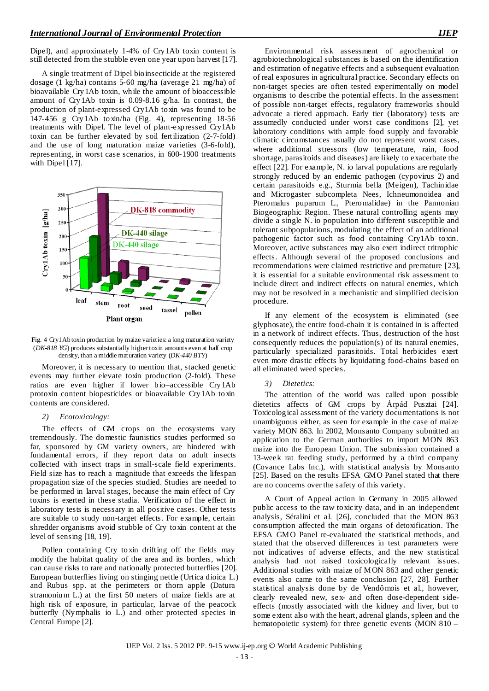Dipel), and approximately 1-4% of Cry1Ab toxin content is still detected from the stubble even one year upon harvest [17].

A single treatment of Dipel bioinsecticide at the registered dosage (1 kg/ha) contains 5-60 mg/ha (average 21 mg/ha) of bioavailable Cry1Ab toxin, while the amount of bioaccessible amount of Cry1Ab toxin is 0.09-8.16 g/ha. In contrast, the production of plant-expressed Cry1Ab toxin was found to be 147-456 g Cry1Ab toxin/ha (Fig. 4), representing 18-56 treatments with Dipel. The level of plant-expressed Cry1Ab toxin can be further elevated by soil fertilization (2-7-fold) and the use of long maturation maize varieties (3-6-fold), representing, in worst case scenarios, in 600-1900 treatments with Dipel [17].



Fig. 4 Cry1Ab toxin production by maize varieties: a long maturation variety (*DK-818 YG*) produces substantially higher toxin amounts even at half crop density, than a middle maturation variety (*DK-440 BTY*)

Moreover, it is necessary to mention that, stacked genetic events may further elevate toxin production (2-fold). These ratios are even higher if lower bio–accessible Cry1Ab protoxin content biopesticides or bioavailable Cry1Ab toxin contents are considered.

#### *2) Ecotoxicology:*

The effects of GM crops on the ecosystems vary tremendously. The domestic faunistics studies performed so far, sponsored by GM variety owners, are hindered with fundamental errors, if they report data on adult insects collected with insect traps in small-scale field experiments. Field size has to reach a magnitude that exceeds the lifespan propagation size of the species studied. Studies are needed to be performed in larval stages, because the main effect of Cry toxins is exerted in these stadia. Verification of the effect in laboratory tests is necessary in all positive cases. Other tests are suitable to study non-target effects. For example, certain shredder organisms avoid stubble of Cry toxin content at the level of sensing [18, 19].

Pollen containing Cry toxin drifting off the fields may modify the habitat quality of the area and its borders, which can cause risks to rare and nationally protected butterflies [20]. European butterflies living on stinging nettle (Urtica dioica L.) and Rubus spp. at the perimeters or thorn apple (Datura stramonium L.) at the first 50 meters of maize fields are at high risk of exposure, in particular, larvae of the peacock butterfly (Nymphalis io L.) and other protected species in Central Europe [2].

Environmental risk assessment of agrochemical or agrobiotechnological substances is based on the identification and estimation of negative effects and a subsequent evaluation of real exposures in agricultural practice. Secondary effects on non-target species are often tested experimentally on model organisms to describe the potential effects. In the assessment of possible non-target effects, regulatory frameworks should advocate a tiered approach. Early tier (laboratory) tests are assumedly conducted under worst case conditions [2], yet laboratory conditions with ample food supply and favorable climatic circumstances usually do not represent worst cases, where additional stressors (low temperature, rain, food shortage, parasitoids and diseases) are likely to exacerbate the effect [22]. For example, N. io larval populations are regularly strongly reduced by an endemic pathogen (cypovirus 2) and certain parasitoids e.g., Sturmia bella (Meigen), Tachinidae and Microgaster subcompleta Nees, Ichneumonoidea and Pteromalus puparum L., Pteromalidae) in the Pannonian Biogeographic Region. These natural controlling agents may divide a single N. io population into different susceptible and tolerant subpopulations, modulating the effect of an additional pathogenic factor such as food containing Cry1Ab toxin. Moreover, active substances may also exert indirect tritrophic effects. Although several of the proposed conclusions and recommendations were claimed restrictive and premature [23], it is essential for a suitable environmental risk assessment to include direct and indirect effects on natural enemies, which may not be resolved in a mechanistic and simplified decision procedure.

If any element of the ecosystem is eliminated (see glyphosate), the entire food-chain it is contained in is affected in a network of indirect effects. Thus, destruction of the host consequently reduces the population(s) of its natural enemies, particularly specialized parasitoids. Total herbicides exert even more drastic effects by liquidating food-chains based on all eliminated weed species.

#### *3) Dietetics:*

The attention of the world was called upon possible dietetics affects of GM crops by Árpád Pusztai [24]. Toxicological assessment of the variety documentations is not unambiguous either, as seen for example in the case of maize variety MON 863. In 2002, Monsanto Company submitted an application to the German authorities to import MON 863 maize into the European Union. The submission contained a 13-week rat feeding study, performed by a third company (Covance Labs Inc.), with statistical analysis by Monsanto [25]. Based on the results EFSA GMO Panel stated that there are no concerns over the safety of this variety.

A Court of Appeal action in Germany in 2005 allowed public access to the raw toxicity data, and in an independent analysis, Séralini et al. [26], concluded that the MON 863 consumption affected the main organs of detoxification. The EFSA GMO Panel re-evaluated the statistical methods, and stated that the observed differences in test parameters were not indicatives of adverse effects, and the new statistical analysis had not raised toxicologically relevant issues. Additional studies with maize of MON 863 and other genetic events also came to the same conclusion [27, 28]. Further statistical analysis done by de Vendômois et al., however, clearly revealed new, sex- and often dose-dependent sideeffects (mostly associated with the kidney and liver, but to some extent also with the heart, adrenal glands, spleen and the hematopoietic system) for three genetic events (MON 810 –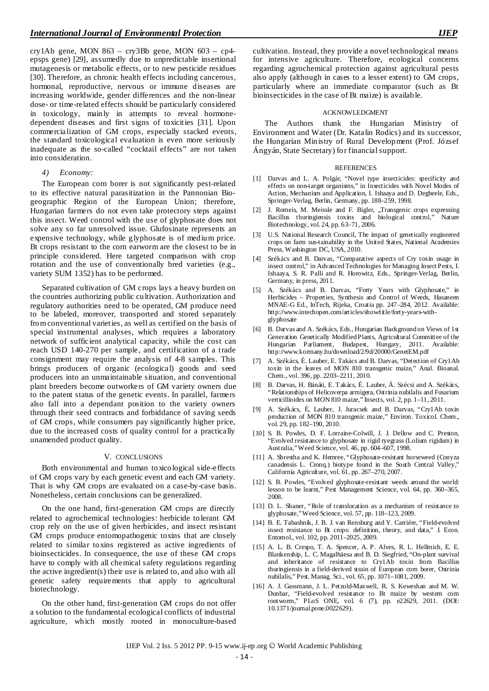cry1Ab gene, MON 863 – cry3Bb gene, MON 603 – cp4 epsps gene) [29], assumedly due to unpredictable insertional mutagenesis or metabolic effects, or to new pesticide residues [30]. Therefore, as chronic health effects including cancerous, hormonal, reproductive, nervous or immune diseases are increasing worldwide, gender differences and the non-linear dose- or time-related effects should be particularly considered in toxicology, mainly in attempts to reveal hormonedependent diseases and first signs of toxicities [31]. Upon commercialization of GM crops, especially stacked events, the standard toxicological evaluation is even more seriously inadequate as the so-called "cocktail effects" are not taken into consideration.

#### *4) Economy:*

The European corn borer is not significantly pest-related to its effective natural parasitization in the Pannonian Biogeographic Region of the European Union; therefore, Hungarian farmers do not even take protectory steps against this insect. Weed control with the use of glyphosate does not solve any so far unresolved issue. Glufosinate represents an expensive technology, while glyphosate is of medium price. Bt crops resistant to the corn earworm are the closest to be in principle considered. Here targeted comparison with crop rotation and the use of conventionally bred varieties (e.g., variety SUM 1352) has to be performed.

Separated cultivation of GM crops lays a heavy burden on the countries authorizing public cultivation. Authorization and regulatory authorities need to be operated, GM produce need to be labeled, moreover, transported and stored separately from conventional varieties, as well as certified on the basis of special instrumental analyses, which requires a laboratory network of sufficient analytical capacity, while the cost can reach USD 140-270 per sample, and certification of a trade consignment may require the analysis of 4-8 samples. This brings producers of organic (ecological) goods and seed producers into an unmaintainable situation, and conventional plant breeders become outworkers of GM variety owners due to the patent status of the genetic events. In parallel, farmers also fall into a dependant position to the variety owners through their seed contracts and forbiddance of saving seeds of GM crops, while consumers pay significantly higher price, due to the increased costs of quality control for a practically unamended product quality.

#### V. CONCLUSIONS

Both environmental and human toxicological side-effects of GM crops vary by each genetic event and each GM variety. That is why GM crops are evaluated on a case-by-case basis. Nonetheless, certain conclusions can be generalized.

On the one hand, first-generation GM crops are directly related to agrochemical technologies: herbicide tolerant GM crop rely on the use of given herbicides, and insect resistant GM crops produce entomopathogenic toxins that are closely related to similar toxins registered as active ingredients of bioinsecticides. In consequence, the use of these GM crops have to comply with all chemical safety regulations regarding the active ingredient(s) their use is related to, and also with all genetic safety requirements that apply to agricultural biotechnology.

On the other hand, first-generation GM crops do not offer a solution to the fundamental ecological conflicts of industrial agriculture, which mostly rooted in monoculture-based cultivation. Instead, they provide a novel technological means for intensive agriculture. Therefore, ecological concerns regarding agrochemical protection against agricultural pests also apply (although in cases to a lesser extent) to GM crops, particularly where an immediate comparator (such as Bt bioinsecticides in the case of Bt maize) is available.

#### ACKNOWLEDGMENT

The Authors thank the Hungarian Ministry of Environment and Water (Dr. Katalin Rodics) and its successor, the Hungarian Ministry of Rural Development (Prof. József Ángyán, State Secretary) for financial support.

#### **REFERENCES**

- [1] Darvas and L. A. Polgár, "Novel type insecticides: specificity and effects on non-target organisms," in Insecticides with Novel Modes of Action, Mechanism and Application, I. Ishaaya and D. Degheele, Eds., Springer-Verlag, Berlin, Germany, pp. 188–259, 1998.
- [2] J. Romeis, M. Meissle and F. Bigler, "Transgenic crops expressing Bacillus thuringiensis toxins and biological control," Nature Biotechnology, vol. 24, pp. 63–71, 2006.
- [3] U.S. National Research Council, The impact of genetically engineered crops on farm sus-tainability in the United States, National Academies Press, Washington DC, USA, 2010.
- [4] Székács and B. Darvas, "Comparative aspects of Cry toxin usage in insect control," in Advanced Technologies for Managing Insect Pests, I. Ishaaya, S. R. Palli and R. Horowitz, Eds., Springer-Verlag, Berlin, Germany, in press, 2011.
- [5] A. Székács and B. Darvas, "Forty Years with Glyphosate," in Herbicides – Properties, Synthesis and Control of Weeds, Hasaneen MNAE-G Ed., InTech, Rijeka, Croatia pp. 247–284, 2012. Available: [http://www.intechopen.com/articles/show/title/forty-years-with](http://www.intechopen.com/articles/show/title/forty-years-with-glyphosate)[glyphosate](http://www.intechopen.com/articles/show/title/forty-years-with-glyphosate)
- [6] B. Darvas and A. Székács, Eds., Hungarian Background on Views of 1st Generation Genetically Modified Plants, Agricultural Committee of the Hungarian Parliament, Budapest, Hungary, 2011. Available: <http://www.kormany.hu/download/2/9d/20000/GenetEM.pdf>
- [7] A. Székács, É. Lauber, E. Takács and B. Darvas, "Detection of Cry1Ab toxin in the leaves of MON 810 transgenic maize," Anal. Bioanal. Chem., vol. 396, pp. 2203–2211, 2010.
- [8] B. Darvas, H. Bánáti, E. Takács, É. Lauber, Á. Szécsi and A. Székács, "Relationships of Helicoverpa armigera, Ostrinia nubilalis and Fusarium verticillioides on MON 810 maize," Insects, vol. 2, pp. 1–11, 2011.
- [9] A. Székács, É, Lauber, J. Juracsek and B. Darvas, "Cry1Ab toxin production of MON 810 transgenic maize," Environ. Toxicol. Chem., vol. 29, pp. 182–190, 2010.
- [10] S. B. Powles, D. F. Lorraine-Colwill, J. J. Dellow and C. Preston, "Evolved resistance to glyphosate in rigid ryegrass (Lolium rigidum) in Australia," Weed Science, vol. 46, pp. 604–607, 1998.
- [11] A. Shrestha and K. Hemree, "Glyphosate-resistant horseweed (Conyza canadensis L. Cronq.) biotype found in the South Central Valley," California Agriculture, vol. 61, pp. 267–270, 2007.
- [12] S. B. Powles, "Evolved glyphosate-resistant weeds around the world: lesson to be learnt," Pest Management Science, vol. 64, pp. 360–365, 2008.
- [13] D. L. Shaner, "Role of translocation as a mechanism of resistance to glyphosate," Weed Science, vol. 57, pp. 118–123, 2009.
- [14] B. E. Tabashnik, J. B. J. van Rensburg and Y. Carriére, "Field-evolved insect resistance to Bt crops: definition, theory, and data," J. Econ. Entomol., vol. 102, pp. 2011–2025, 2009.
- [15] A. L. B. Crespo, T. A. Spencer, A. P. Alves, R. L. Hellmich, E. E. Blankenship, L. C. Magalhäesa and B. D. Siegfried, "On-plant survival and inheritance of resistance to Cry1Ab toxin from Bacillus thuringiensis in a field-derived strain of European com borer, Ostrinia nubilalis," Pest. Manag. Sci., vol. 65, pp. 1071–1081, 2009.
- [16] A. J. Gassmann, J. L. Petzold-Maxwell, R. S. Keweshan and M. W. Dunbar, "Field-evolved resistance to Bt maize by western com rootworm," PLoS ONE, vol. 6 (7), pp. e22629, 2011. (DOI: 10.1371/journal.pone.0022629).